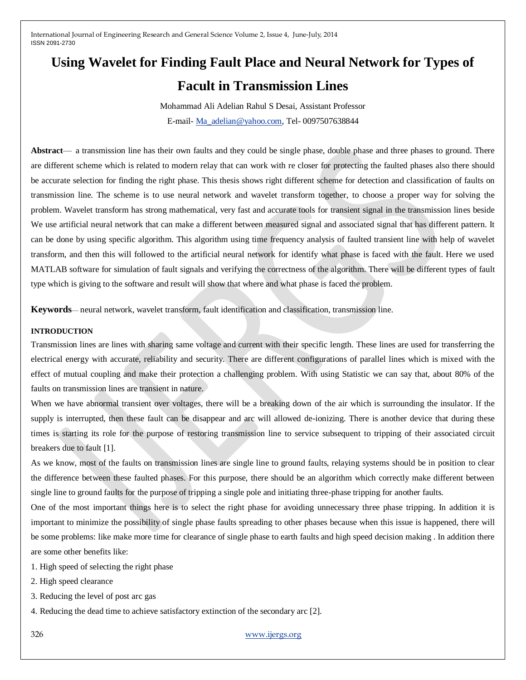# **Using Wavelet for Finding Fault Place and Neural Network for Types of**

# **Facult in Transmission Lines**

Mohammad Ali Adelian Rahul S Desai, Assistant Professor E-mail- [Ma\\_adelian@yahoo.com,](mailto:Ma_adelian@yahoo.com) Tel- 0097507638844

Abstract— a transmission line has their own faults and they could be single phase, double phase and three phases to ground. There are different scheme which is related to modern relay that can work with re closer for protecting the faulted phases also there should be accurate selection for finding the right phase. This thesis shows right different scheme for detection and classification of faults on transmission line. The scheme is to use neural network and wavelet transform together, to choose a proper way for solving the problem. Wavelet transform has strong mathematical, very fast and accurate tools for transient signal in the transmission lines beside We use artificial neural network that can make a different between measured signal and associated signal that has different pattern. It can be done by using specific algorithm. This algorithm using time frequency analysis of faulted transient line with help of wavelet transform, and then this will followed to the artificial neural network for identify what phase is faced with the fault. Here we used MATLAB software for simulation of fault signals and verifying the correctness of the algorithm. There will be different types of fault type which is giving to the software and result will show that where and what phase is faced the problem.

**Keywords**— neural network, wavelet transform, fault identification and classification, transmission line.

# **INTRODUCTION**

Transmission lines are lines with sharing same voltage and current with their specific length. These lines are used for transferring the electrical energy with accurate, reliability and security. There are different configurations of parallel lines which is mixed with the effect of mutual coupling and make their protection a challenging problem. With using Statistic we can say that, about 80% of the faults on transmission lines are transient in nature.

When we have abnormal transient over voltages, there will be a breaking down of the air which is surrounding the insulator. If the supply is interrupted, then these fault can be disappear and arc will allowed de-ionizing. There is another device that during these times is starting its role for the purpose of restoring transmission line to service subsequent to tripping of their associated circuit breakers due to fault [1].

As we know, most of the faults on transmission lines are single line to ground faults, relaying systems should be in position to clear the difference between these faulted phases. For this purpose, there should be an algorithm which correctly make different between single line to ground faults for the purpose of tripping a single pole and initiating three-phase tripping for another faults.

One of the most important things here is to select the right phase for avoiding unnecessary three phase tripping. In addition it is important to minimize the possibility of single phase faults spreading to other phases because when this issue is happened, there will be some problems: like make more time for clearance of single phase to earth faults and high speed decision making . In addition there are some other benefits like:

1. High speed of selecting the right phase

2. High speed clearance

3. Reducing the level of post arc gas

4. Reducing the dead time to achieve satisfactory extinction of the secondary arc [2].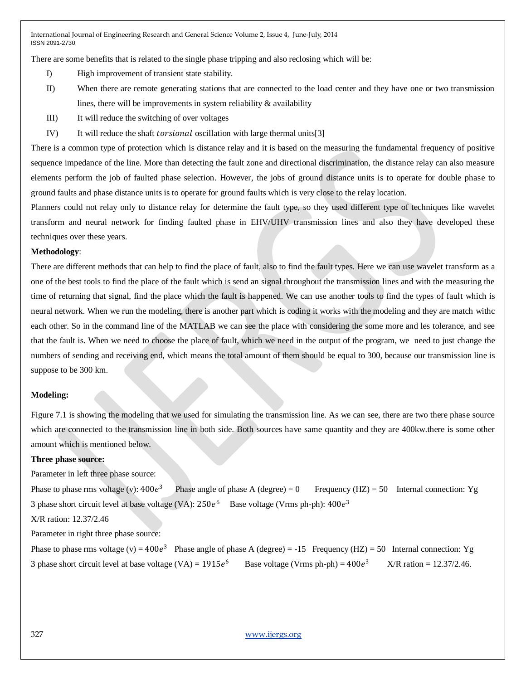There are some benefits that is related to the single phase tripping and also reclosing which will be:

- I) High improvement of transient state stability.
- II) When there are remote generating stations that are connected to the load center and they have one or two transmission lines, there will be improvements in system reliability  $\&$  availability
- III) It will reduce the switching of over voltages
- IV) It will reduce the shaft *torsional* oscillation with large thermal units[3]

There is a common type of protection which is distance relay and it is based on the measuring the fundamental frequency of positive sequence impedance of the line. More than detecting the fault zone and directional discrimination, the distance relay can also measure elements perform the job of faulted phase selection. However, the jobs of ground distance units is to operate for double phase to ground faults and phase distance units is to operate for ground faults which is very close to the relay location.

Planners could not relay only to distance relay for determine the fault type, so they used different type of techniques like wavelet transform and neural network for finding faulted phase in EHV/UHV transmission lines and also they have developed these techniques over these years.

#### **Methodology**:

There are different methods that can help to find the place of fault, also to find the fault types. Here we can use wavelet transform as a one of the best tools to find the place of the fault which is send an signal throughout the transmission lines and with the measuring the time of returning that signal, find the place which the fault is happened. We can use another tools to find the types of fault which is neural network. When we run the modeling, there is another part which is coding it works with the modeling and they are match withc each other. So in the command line of the MATLAB we can see the place with considering the some more and les tolerance, and see that the fault is. When we need to choose the place of fault, which we need in the output of the program, we need to just change the numbers of sending and receiving end, which means the total amount of them should be equal to 300, because our transmission line is suppose to be 300 km.

#### **Modeling:**

Figure 7.1 is showing the modeling that we used for simulating the transmission line. As we can see, there are two there phase source which are connected to the transmission line in both side. Both sources have same quantity and they are 400kw.there is some other amount which is mentioned below.

#### **Three phase source:**

Parameter in left three phase source:

Phase to phase rms voltage (v):  $400e^3$ Phase angle of phase A (degree) = 0 Frequency (HZ) = 50 Internal connection: Yg 3 phase short circuit level at base voltage (VA):  $250e^6$  Base voltage (Vrms ph-ph):  $400e^3$ 

X/R ration: 12.37/2.46

Parameter in right three phase source:

Phase to phase rms voltage (v) =  $400e^3$  Phase angle of phase A (degree) = -15 Frequency (HZ) = 50 Internal connection: Yg 3 phase short circuit level at base voltage (VA) =  $1915e^6$  Base voltage (Vrms ph-ph) =  $400e^3$  $X/R$  ration = 12.37/2.46.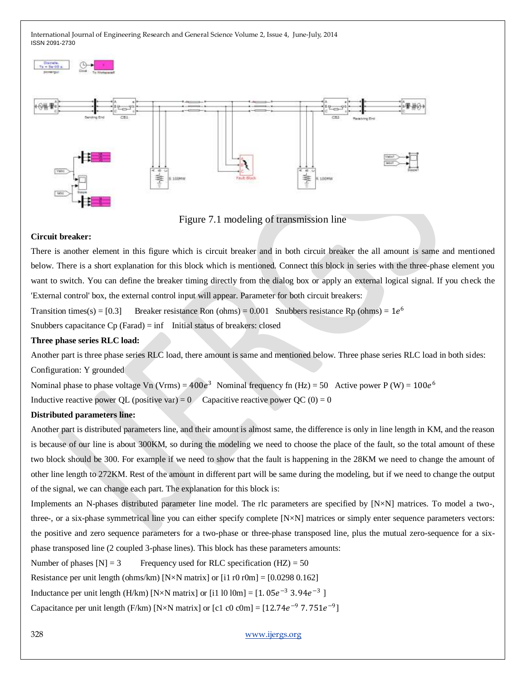



Figure 7.1 modeling of transmission line

### **Circuit breaker:**

There is another element in this figure which is circuit breaker and in both circuit breaker the all amount is same and mentioned below. There is a short explanation for this block which is mentioned. Connect this block in series with the three-phase element you want to switch. You can define the breaker timing directly from the dialog box or apply an external logical signal. If you check the 'External control' box, the external control input will appear. Parameter for both circuit breakers:

Transition times(s) = [0.3] Breaker resistance Ron (ohms) = 0.001 Snubbers resistance Rp (ohms) =  $1e^{6}$ 

Snubbers capacitance  $C_p$  (Farad) = inf Initial status of breakers: closed

# **Three phase series RLC load:**

Another part is three phase series RLC load, there amount is same and mentioned below. Three phase series RLC load in both sides: Configuration: Y grounded

Nominal phase to phase voltage Vn (Vrms) =  $400e^3$  Nominal frequency fn (Hz) = 50 Active power P (W) =  $100e^6$ Inductive reactive power QL (positive var) = 0 Capacitive reactive power QC (0) = 0

# **Distributed parameters line:**

Another part is distributed parameters line, and their amount is almost same, the difference is only in line length in KM, and the reason is because of our line is about 300KM, so during the modeling we need to choose the place of the fault, so the total amount of these two block should be 300. For example if we need to show that the fault is happening in the 28KM we need to change the amount of other line length to 272KM. Rest of the amount in different part will be same during the modeling, but if we need to change the output of the signal, we can change each part. The explanation for this block is:

Implements an N-phases distributed parameter line model. The rlc parameters are specified by [N×N] matrices. To model a two-, three-, or a six-phase symmetrical line you can either specify complete [N×N] matrices or simply enter sequence parameters vectors: the positive and zero sequence parameters for a two-phase or three-phase transposed line, plus the mutual zero-sequence for a sixphase transposed line (2 coupled 3-phase lines). This block has these parameters amounts:

Number of phases  $[N] = 3$  Frequency used for RLC specification  $(HZ) = 50$ 

Resistance per unit length (ohms/km)  $[N \times N \text{ matrix}]$  or  $[i1 \text{ r0 r0m}] = [0.0298 \text{ 0.162}]$ 

Inductance per unit length (H/km) [N×N matrix] or [i1 l0 l0m] =  $[1.05e^{-3} 3.94e^{-3}]$ 

Capacitance per unit length (F/km) [N×N matrix] or [c1 c0 c0m] =  $[12.74e^{-9}$  7.751 $e^{-9}$ ]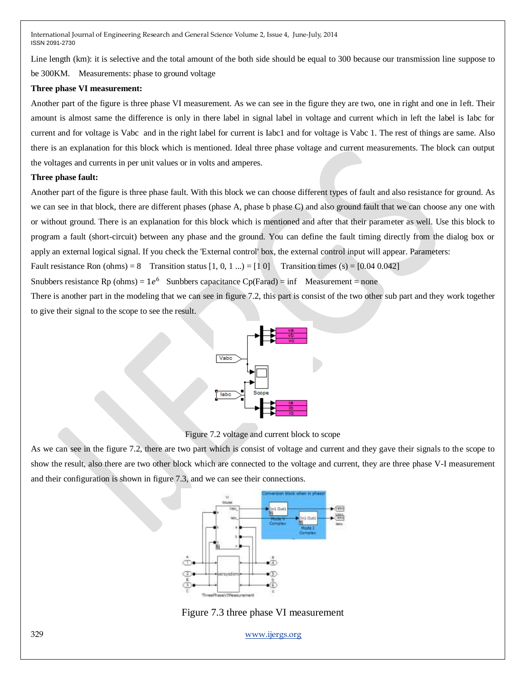Line length (km): it is selective and the total amount of the both side should be equal to 300 because our transmission line suppose to be 300KM. Measurements: phase to ground voltage

#### **Three phase VI measurement:**

Another part of the figure is three phase VI measurement. As we can see in the figure they are two, one in right and one in left. Their amount is almost same the difference is only in there label in signal label in voltage and current which in left the label is Iabc for current and for voltage is Vabc and in the right label for current is Iabc1 and for voltage is Vabc 1. The rest of things are same. Also there is an explanation for this block which is mentioned. Ideal three phase voltage and current measurements. The block can output the voltages and currents in per unit values or in volts and amperes.

#### **Three phase fault:**

Another part of the figure is three phase fault. With this block we can choose different types of fault and also resistance for ground. As we can see in that block, there are different phases (phase A, phase b phase C) and also ground fault that we can choose any one with or without ground. There is an explanation for this block which is mentioned and after that their parameter as well. Use this block to program a fault (short-circuit) between any phase and the ground. You can define the fault timing directly from the dialog box or apply an external logical signal. If you check the 'External control' box, the external control input will appear. Parameters:

Fault resistance Ron (ohms) = 8 Transition status  $[1, 0, 1, ...]= [1, 0]$  Transition times (s) =  $[0.04, 0.042]$ 

Snubbers resistance Rp (ohms) =  $1e^6$  Sunbbers capacitance Cp(Farad) = inf Measurement = none

There is another part in the modeling that we can see in figure 7.2, this part is consist of the two other sub part and they work together to give their signal to the scope to see the result.



Figure 7.2 voltage and current block to scope

As we can see in the figure 7.2, there are two part which is consist of voltage and current and they gave their signals to the scope to show the result, also there are two other block which are connected to the voltage and current, they are three phase V-I measurement and their configuration is shown in figure 7.3, and we can see their connections.



Figure 7.3 three phase VI measurement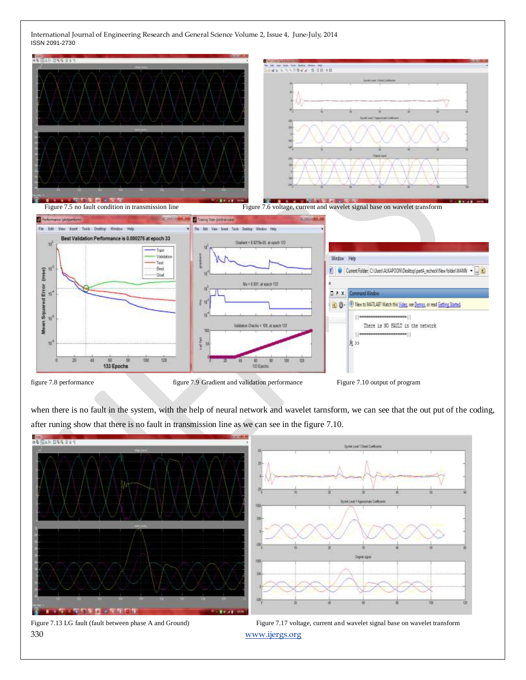

when there is no fault in the system, with the help of neural network and wavelet tarnsform, we can see that the out put of the coding, after runing show that there is no fault in transmission line as we can see in the figure 7.10.



330 [www.ijergs.org](http://www.ijergs.org/)

Figure 7.13 LG fault (fault between phase A and Ground) Figure 7.17 voltage, current and wavelet signal base on wavelet transform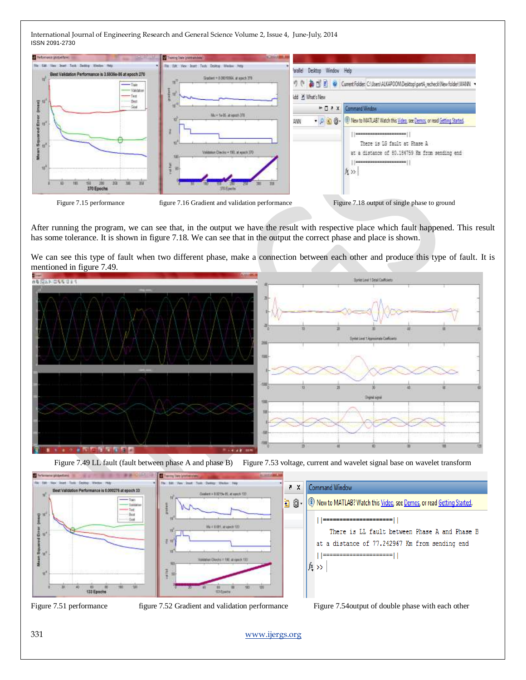| 7- Performance (allotaed farm)                                             | Theory Inte partnership                                                             |                                                                                                                                                                                                          |  |  |
|----------------------------------------------------------------------------|-------------------------------------------------------------------------------------|----------------------------------------------------------------------------------------------------------------------------------------------------------------------------------------------------------|--|--|
| Best Validation Performance is 1,5935e-05 at epoch 270<br>T <sub>ion</sub> | Desitor Window Help<br>Gradwin = 0.08010564, at ease's 270                          | Desktop Window Help<br>arallel<br>● [9] E V Current Folder: C:\Users\ALKAPOCM\Desktop\partA_recheck\New folder\WANN ><br>dd & What's New                                                                 |  |  |
| $-$ Valdeur<br>$-$ Test<br>要推<br>Bett                                      |                                                                                     |                                                                                                                                                                                                          |  |  |
| -Suit                                                                      |                                                                                     | Command Window<br>$+72$                                                                                                                                                                                  |  |  |
| å 10°<br>름<br><b>BE</b><br>370 Epochs                                      | Mul-1+35 at epoch 378<br>Validation Checks = 190, at apacts 370<br><b>VILLiamin</b> | . (2) $\bigotimes$ $\bigotimes$ : (4) New to MATLAB? Watch this Video, see Demos, or read Getting Started.<br>潮<br>There is 18 fault at Phase A.<br>at a distance of 80.184759 Hm from sending end<br>ない |  |  |

After running the program, we can see that, in the output we have the result with respective place which fault happened. This result has some tolerance. It is shown in figure 7.18. We can see that in the output the correct phase and place is shown.

We can see this type of fault when two different phase, make a connection between each other and produce this type of fault. It is mentioned in figure 7.49.



Figure 7.49 LL fault (fault between phase A and phase B) Figure 7.53 voltage, current and wavelet signal base on wavelet transform



 $=$  $||$ 

Figure 7.51 performance figure 7.52 Gradient and validation performance Figure 7.54output of double phase with each other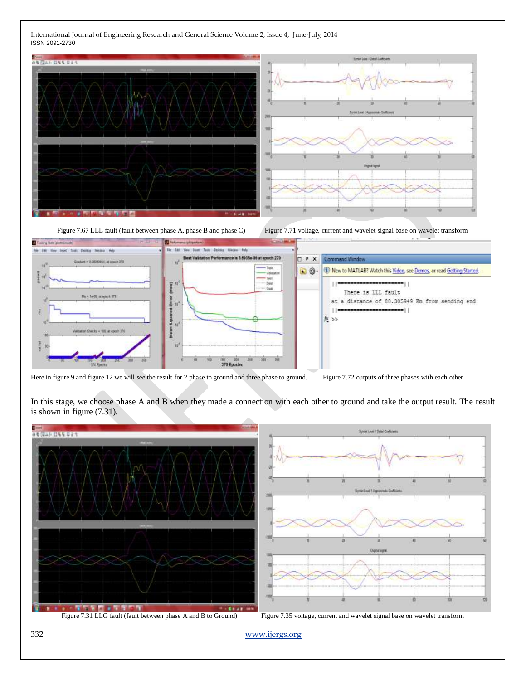

Figure 7.67 LLL fault (fault between phase A, phase B and phase C) Figure 7.71 voltage, current and wavelet signal base on wavelet transform



Here in figure 9 and figure 12 we will see the result for 2 phase to ground and three phase to ground. Figure 7.72 outputs of three phases with each other

In this stage, we choose phase A and B when they made a connection with each other to ground and take the output result. The result is shown in figure (7.31).

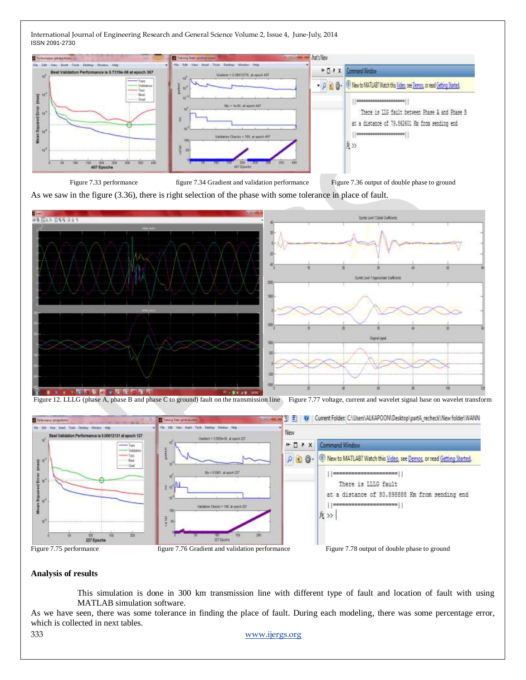

Figure 7.33 performance figure 7.34 Gradient and validation performance Figure 7.36 output of double phase to ground

As we saw in the figure (3.36), there is right selection of the phase with some tolerance in place of fault.



Figure 12. LLLG (phase A, phase B and phase C to ground) fault on the transmission line Figure 7.77 voltage, current and wavelet signal base on wavelet transform



#### **Analysis of results**

This simulation is done in 300 km transmission line with different type of fault and location of fault with using MATLAB simulation software.

As we have seen, there was some tolerance in finding the place of fault. During each modeling, there was some percentage error, which is collected in next tables.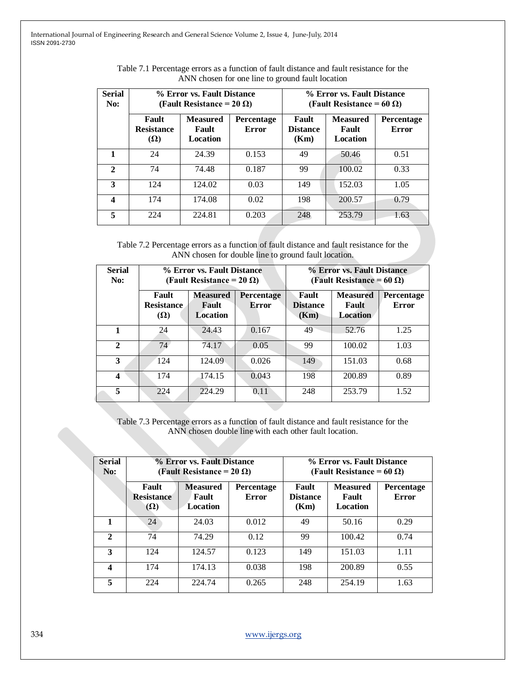| <b>Serial</b><br>No: | % Error vs. Fault Distance<br>(Fault Resistance = 20 $\Omega$ ) |                                             |                     | % Error vs. Fault Distance<br>(Fault Resistance = 60 $\Omega$ ) |                                      |                     |
|----------------------|-----------------------------------------------------------------|---------------------------------------------|---------------------|-----------------------------------------------------------------|--------------------------------------|---------------------|
|                      | Fault<br><b>Resistance</b><br>$(\Omega)$                        | <b>Measured</b><br>Fault<br><b>Location</b> | Percentage<br>Error | Fault<br><b>Distance</b><br>(Km)                                | <b>Measured</b><br>Fault<br>Location | Percentage<br>Error |
|                      | 24                                                              | 24.39                                       | 0.153               | 49                                                              | 50.46                                | 0.51                |
| $\mathbf{2}$         | 74                                                              | 74.48                                       | 0.187               | 99                                                              | 100.02                               | 0.33                |
| 3                    | 124                                                             | 124.02                                      | 0.03                | 149                                                             | 152.03                               | 1.05                |
| 4                    | 174                                                             | 174.08                                      | 0.02                | 198                                                             | 200.57                               | 0.79                |
| 5                    | 224                                                             | 224.81                                      | 0.203               | 248                                                             | 253.79                               | 1.63                |

| Table 7.1 Percentage errors as a function of fault distance and fault resistance for the |  |
|------------------------------------------------------------------------------------------|--|
| ANN chosen for one line to ground fault location                                         |  |

Table 7.2 Percentage errors as a function of fault distance and fault resistance for the ANN chosen for double line to ground fault location.

| <b>Serial</b><br>No: | % Error vs. Fault Distance<br>(Fault Resistance = $20 \Omega$ ) |                                             |                     | % Error vs. Fault Distance<br>(Fault Resistance = 60 $\Omega$ ) |                                             |                     |
|----------------------|-----------------------------------------------------------------|---------------------------------------------|---------------------|-----------------------------------------------------------------|---------------------------------------------|---------------------|
|                      | Fault<br><b>Resistance</b><br>$(\Omega)$                        | <b>Measured</b><br>Fault<br><b>Location</b> | Percentage<br>Error | Fault<br><b>Distance</b><br>(Km)                                | <b>Measured</b><br>Fault<br><b>Location</b> | Percentage<br>Error |
| 1                    | 24                                                              | 24.43                                       | 0.167               | 49                                                              | 52.76                                       | 1.25                |
| $\mathbf{2}$         | 74                                                              | 74.17                                       | 0.05                | 99                                                              | 100.02                                      | 1.03                |
| 3                    | 124                                                             | 124.09                                      | 0.026               | 149                                                             | 151.03                                      | 0.68                |
| 4                    | 174                                                             | 174.15                                      | 0.043               | 198                                                             | 200.89                                      | 0.89                |
| 5                    | 224                                                             | 224.29                                      | 0.11                | 248                                                             | 253.79                                      | 1.52                |

Table 7.3 Percentage errors as a function of fault distance and fault resistance for the ANN chosen double line with each other fault location.

| <b>Serial</b><br>No: | % Error vs. Fault Distance<br>(Fault Resistance = 20 $\Omega$ ) |                                             |                            | % Error vs. Fault Distance<br>(Fault Resistance = 60 $\Omega$ ) |                                      |                            |
|----------------------|-----------------------------------------------------------------|---------------------------------------------|----------------------------|-----------------------------------------------------------------|--------------------------------------|----------------------------|
|                      | Fault<br><b>Resistance</b><br>$(\Omega)$                        | <b>Measured</b><br>Fault<br><b>Location</b> | <b>Percentage</b><br>Error | Fault<br><b>Distance</b><br>(Km)                                | <b>Measured</b><br>Fault<br>Location | <b>Percentage</b><br>Error |
| 1                    | 24                                                              | 24.03                                       | 0.012                      | 49                                                              | 50.16                                | 0.29                       |
| $\mathbf{2}$         | 74                                                              | 74.29                                       | 0.12                       | 99                                                              | 100.42                               | 0.74                       |
| 3                    | 124                                                             | 124.57                                      | 0.123                      | 149                                                             | 151.03                               | 1.11                       |
| 4                    | 174                                                             | 174.13                                      | 0.038                      | 198                                                             | 200.89                               | 0.55                       |
| 5                    | 224                                                             | 224.74                                      | 0.265                      | 248                                                             | 254.19                               | 1.63                       |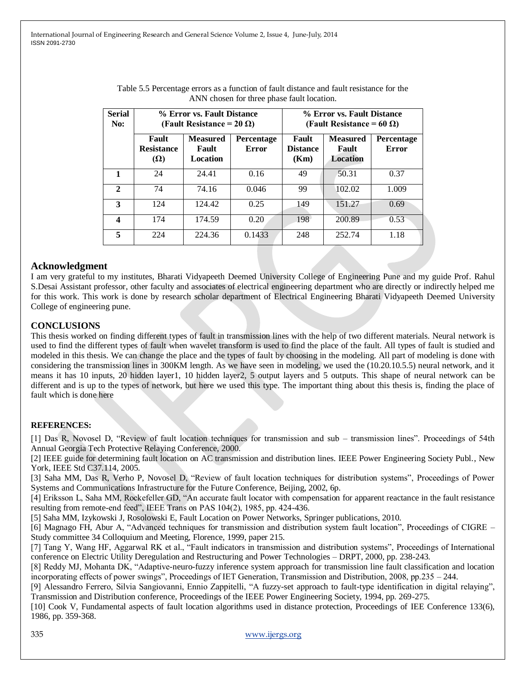| <b>Serial</b><br>No: | % Error vs. Fault Distance<br>(Fault Resistance = $20 \Omega$ ) |                                      |                            | % Error vs. Fault Distance<br>(Fault Resistance = 60 $\Omega$ ) |                                             |                            |
|----------------------|-----------------------------------------------------------------|--------------------------------------|----------------------------|-----------------------------------------------------------------|---------------------------------------------|----------------------------|
|                      | Fault<br><b>Resistance</b><br>$(\Omega)$                        | <b>Measured</b><br>Fault<br>Location | Percentage<br><b>Error</b> | Fault<br><b>Distance</b><br>(Km)                                | <b>Measured</b><br>Fault<br><b>Location</b> | Percentage<br><b>Error</b> |
| 1                    | 24                                                              | 24.41                                | 0.16                       | 49                                                              | 50.31                                       | 0.37                       |
| $\mathbf{2}$         | 74                                                              | 74.16                                | 0.046                      | 99                                                              | 102.02                                      | 1.009                      |
| 3                    | 124                                                             | 124.42                               | 0.25                       | 149                                                             | 151.27                                      | 0.69                       |
| $\boldsymbol{4}$     | 174                                                             | 174.59                               | 0.20                       | 198                                                             | 200.89                                      | 0.53                       |
| 5                    | 224                                                             | 224.36                               | 0.1433                     | 248                                                             | 252.74                                      | 1.18                       |

| Table 5.5 Percentage errors as a function of fault distance and fault resistance for the |  |
|------------------------------------------------------------------------------------------|--|
| ANN chosen for three phase fault location.                                               |  |

# **Acknowledgment**

I am very grateful to my institutes, Bharati Vidyapeeth Deemed University College of Engineering Pune and my guide Prof. Rahul S.Desai Assistant professor, other faculty and associates of electrical engineering department who are directly or indirectly helped me for this work. This work is done by research scholar department of Electrical Engineering Bharati Vidyapeeth Deemed University College of engineering pune.

# **CONCLUSIONS**

This thesis worked on finding different types of fault in transmission lines with the help of two different materials. Neural network is used to find the different types of fault when wavelet transform is used to find the place of the fault. All types of fault is studied and modeled in this thesis. We can change the place and the types of fault by choosing in the modeling. All part of modeling is done with considering the transmission lines in 300KM length. As we have seen in modeling, we used the (10.20.10.5.5) neural network, and it means it has 10 inputs, 20 hidden layer1, 10 hidden layer2, 5 output layers and 5 outputs. This shape of neural network can be different and is up to the types of network, but here we used this type. The important thing about this thesis is, finding the place of fault which is done here

# **REFERENCES:**

[1] Das R, Novosel D, "Review of fault location techniques for transmission and sub – transmission lines". Proceedings of 54th Annual Georgia Tech Protective Relaying Conference, 2000.

[2] IEEE guide for determining fault location on AC transmission and distribution lines. IEEE Power Engineering Society Publ., New York, IEEE Std C37.114, 2005.

[3] Saha MM, Das R, Verho P, Novosel D, "Review of fault location techniques for distribution systems", Proceedings of Power Systems and Communications Infrastructure for the Future Conference, Beijing, 2002, 6p.

[4] Eriksson L, Saha MM, Rockefeller GD, "An accurate fault locator with compensation for apparent reactance in the fault resistance resulting from remote-end feed", IEEE Trans on PAS 104(2), 1985, pp. 424-436.

[5] Saha MM, Izykowski J, Rosolowski E, Fault Location on Power Networks, Springer publications, 2010.

[6] Magnago FH, Abur A, "Advanced techniques for transmission and distribution system fault location", Proceedings of CIGRE – Study committee 34 Colloquium and Meeting, Florence, 1999, paper 215.

[7] Tang Y, Wang HF, Aggarwal RK et al., "Fault indicators in transmission and distribution systems", Proceedings of International conference on Electric Utility Deregulation and Restructuring and Power Technologies – DRPT, 2000, pp. 238-243.

[8] Reddy MJ, Mohanta DK, "Adaptive-neuro-fuzzy inference system approach for transmission line fault classification and location incorporating effects of power swings", Proceedings of IET Generation, Transmission and Distribution, 2008, pp.235 – 244.

[9] Alessandro Ferrero, Silvia Sangiovanni, Ennio Zappitelli, "A fuzzy-set approach to fault-type identification in digital relaying", Transmission and Distribution conference, Proceedings of the IEEE Power Engineering Society, 1994, pp. 269-275.

[10] Cook V, Fundamental aspects of fault location algorithms used in distance protection, Proceedings of IEE Conference 133(6), 1986, pp. 359-368.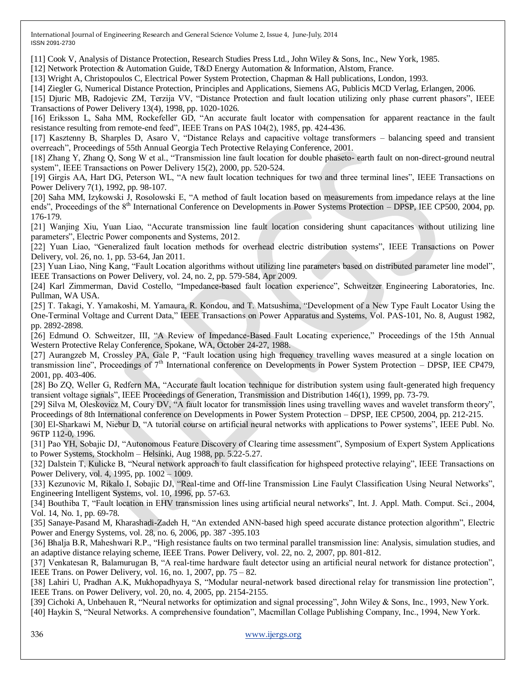[11] Cook V, Analysis of Distance Protection, Research Studies Press Ltd., John Wiley & Sons, Inc., New York, 1985.

[12] Network Protection & Automation Guide, T&D Energy Automation & Information, Alstom, France.

[13] Wright A, Christopoulos C, Electrical Power System Protection, Chapman & Hall publications, London, 1993.

[14] Ziegler G, Numerical Distance Protection, Principles and Applications, Siemens AG, Publicis MCD Verlag, Erlangen, 2006.

[15] Djuric MB, Radojevic ZM, Terzija VV, "Distance Protection and fault location utilizing only phase current phasors", IEEE Transactions of Power Delivery 13(4), 1998, pp. 1020-1026.

[16] Eriksson L, Saha MM, Rockefeller GD, "An accurate fault locator with compensation for apparent reactance in the fault resistance resulting from remote-end feed", IEEE Trans on PAS 104(2), 1985, pp. 424-436.

[17] Kasztenny B, Sharples D, Asaro V, "Distance Relays and capacitive voltage transformers – balancing speed and transient overreach‖, Proceedings of 55th Annual Georgia Tech Protective Relaying Conference, 2001.

[18] Zhang Y, Zhang Q, Song W et al., "Transmission line fault location for double phaseto- earth fault on non-direct-ground neutral system", IEEE Transactions on Power Delivery 15(2), 2000, pp. 520-524.

[19] Girgis AA, Hart DG, Peterson WL, "A new fault location techniques for two and three terminal lines", IEEE Transactions on Power Delivery 7(1), 1992, pp. 98-107.

[20] Saha MM, Izykowski J, Rosolowski E, "A method of fault location based on measurements from impedance relays at the line ends", Proceedings of the  $8<sup>th</sup>$  International Conference on Developments in Power Systems Protection – DPSP, IEE CP500, 2004, pp. 176-179.

[21] Wanjing Xiu, Yuan Liao, "Accurate transmission line fault location considering shunt capacitances without utilizing line parameters", Electric Power components and Systems, 2012.

[22] Yuan Liao, "Generalized fault location methods for overhead electric distribution systems", IEEE Transactions on Power Delivery, vol. 26, no. 1, pp. 53-64, Jan 2011.

[23] Yuan Liao, Ning Kang, "Fault Location algorithms without utilizing line parameters based on distributed parameter line model", IEEE Transactions on Power Delivery, vol. 24, no. 2, pp. 579-584, Apr 2009.

[24] Karl Zimmerman, David Costello, "Impedance-based fault location experience", Schweitzer Engineering Laboratories, Inc. Pullman, WA USA.

[25] T. Takagi, Y. Yamakoshi, M. Yamaura, R. Kondou, and T. Matsushima, "Development of a New Type Fault Locator Using the One-Terminal Voltage and Current Data," IEEE Transactions on Power Apparatus and Systems, Vol. PAS-101, No. 8, August 1982, pp. 2892-2898.

[26] Edmund O. Schweitzer, III, "A Review of Impedance-Based Fault Locating experience," Proceedings of the 15th Annual Western Protective Relay Conference, Spokane, WA, October 24-27, 1988.

[27] Aurangzeb M, Crossley PA, Gale P, "Fault location using high frequency travelling waves measured at a single location on transmission line". Proceedings of  $7<sup>th</sup>$  International conference on Developments in Power System Protection – DPSP, IEE CP479, 2001, pp. 403-406.

[28] Bo ZQ, Weller G, Redfern MA, "Accurate fault location technique for distribution system using fault-generated high frequency transient voltage signals‖, IEEE Proceedings of Generation, Transmission and Distribution 146(1), 1999, pp. 73-79.

[29] Silva M, Oleskovicz M, Coury DV, "A fault locator for transmission lines using travelling waves and wavelet transform theory", Proceedings of 8th International conference on Developments in Power System Protection – DPSP, IEE CP500, 2004, pp. 212-215.

[30] El-Sharkawi M, Niebur D, "A tutorial course on artificial neural networks with applications to Power systems", IEEE Publ. No. 96TP 112-0, 1996.

[31] Pao YH, Sobajic DJ, "Autonomous Feature Discovery of Clearing time assessment", Symposium of Expert System Applications to Power Systems, Stockholm – Helsinki, Aug 1988, pp. 5.22-5.27.

[32] Dalstein T, Kulicke B, "Neural network approach to fault classification for highspeed protective relaying", IEEE Transactions on Power Delivery, vol. 4, 1995, pp. 1002 – 1009.

[33] Kezunovic M, Rikalo I, Sobajic DJ, "Real-time and Off-line Transmission Line Faulyt Classification Using Neural Networks". Engineering Intelligent Systems, vol. 10, 1996, pp. 57-63.

[34] Bouthiba T, "Fault location in EHV transmission lines using artificial neural networks", Int. J. Appl. Math. Comput. Sci., 2004, Vol. 14, No. 1, pp. 69-78.

[35] Sanaye-Pasand M, Kharashadi-Zadeh H, "An extended ANN-based high speed accurate distance protection algorithm", Electric Power and Energy Systems, vol. 28, no. 6, 2006, pp. 387 -395.103

[36] Bhalja B.R, Maheshwari R.P., "High resistance faults on two terminal parallel transmission line: Analysis, simulation studies, and an adaptive distance relaying scheme, IEEE Trans. Power Delivery, vol. 22, no. 2, 2007, pp. 801-812.

[37] Venkatesan R, Balamurugan B, "A real-time hardware fault detector using an artificial neural network for distance protection", IEEE Trans. on Power Delivery, vol. 16, no. 1, 2007, pp. 75 – 82.

[38] Lahiri U, Pradhan A.K, Mukhopadhyaya S, "Modular neural-network based directional relay for transmission line protection", IEEE Trans. on Power Delivery, vol. 20, no. 4, 2005, pp. 2154-2155.

[39] Cichoki A, Unbehauen R, "Neural networks for optimization and signal processing", John Wiley & Sons, Inc., 1993, New York. [40] Haykin S, "Neural Networks. A comprehensive foundation", Macmillan Collage Publishing Company, Inc., 1994, New York.